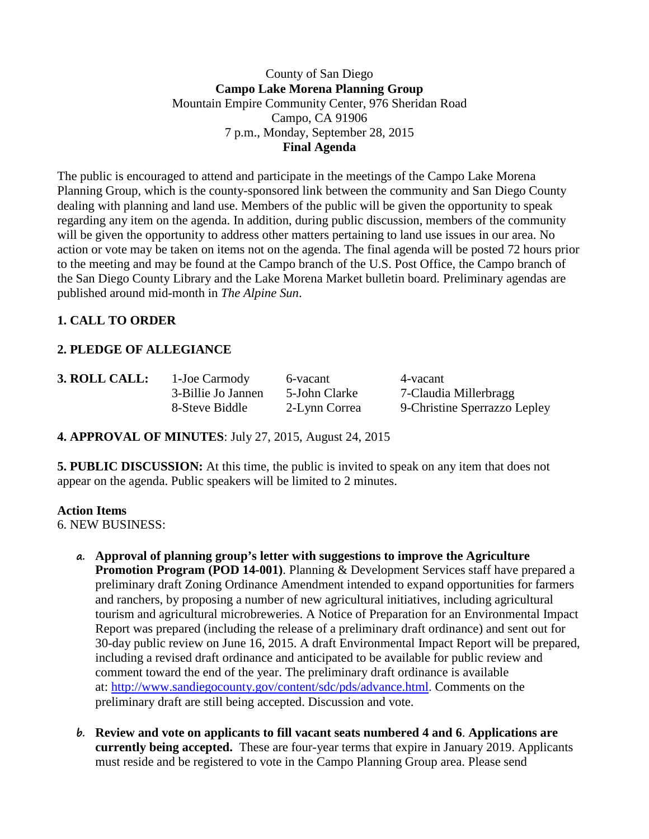### County of San Diego **Campo Lake Morena Planning Group** Mountain Empire Community Center, 976 Sheridan Road Campo, CA 91906 7 p.m., Monday, September 28, 2015 **Final Agenda**

The public is encouraged to attend and participate in the meetings of the Campo Lake Morena Planning Group, which is the county-sponsored link between the community and San Diego County dealing with planning and land use. Members of the public will be given the opportunity to speak regarding any item on the agenda. In addition, during public discussion, members of the community will be given the opportunity to address other matters pertaining to land use issues in our area. No action or vote may be taken on items not on the agenda. The final agenda will be posted 72 hours prior to the meeting and may be found at the Campo branch of the U.S. Post Office, the Campo branch of the San Diego County Library and the Lake Morena Market bulletin board. Preliminary agendas are published around mid-month in *The Alpine Sun*.

# **1. CALL TO ORDER**

# **2. PLEDGE OF ALLEGIANCE**

**3. ROLL CALL:** 1-Joe Carmody 6-vacant 4-vacant

3-Billie Jo Jannen 5-John Clarke 7-Claudia Millerbragg 8-Steve Biddle 2-Lynn Correa 9-Christine Sperrazzo Lepley

**4. APPROVAL OF MINUTES**: July 27, 2015, August 24, 2015

**5. PUBLIC DISCUSSION:** At this time, the public is invited to speak on any item that does not appear on the agenda. Public speakers will be limited to 2 minutes.

#### **Action Items**

6. NEW BUSINESS:

- **a. Approval of planning group's letter with suggestions to improve the Agriculture Promotion Program (POD 14-001)**. Planning & Development Services staff have prepared a preliminary draft Zoning Ordinance Amendment intended to expand opportunities for farmers and ranchers, by proposing a number of new agricultural initiatives, including agricultural tourism and agricultural microbreweries. A Notice of Preparation for an Environmental Impact Report was prepared (including the release of a preliminary draft ordinance) and sent out for 30-day public review on June 16, 2015. A draft Environmental Impact Report will be prepared, including a revised draft ordinance and anticipated to be available for public review and comment toward the end of the year. The preliminary draft ordinance is available at: [http://www.sandiegocounty.gov/content/sdc/pds/advance.html.](http://www.sandiegocounty.gov/content/sdc/pds/advance.html) Comments on the preliminary draft are still being accepted. Discussion and vote.
- **b. Review and vote on applicants to fill vacant seats numbered 4 and 6**. **Applications are currently being accepted.** These are four-year terms that expire in January 2019. Applicants must reside and be registered to vote in the Campo Planning Group area. Please send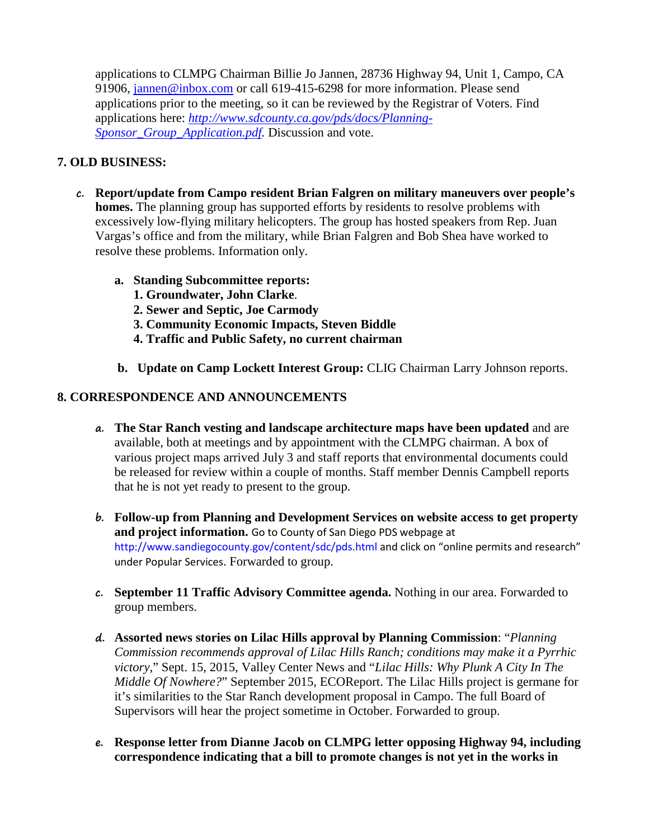applications to CLMPG Chairman Billie Jo Jannen, 28736 Highway 94, Unit 1, Campo, CA 91906, [jannen@inbox.com](mailto:campojoe@yahoo.com) or call 619-415-6298 for more information. Please send applications prior to the meeting, so it can be reviewed by the Registrar of Voters. Find applications here: *[http://www.sdcounty.ca.gov/pds/docs/Planning-](http://www.sdcounty.ca.gov/pds/docs/Planning-Sponsor_Group_Application.pdf)[Sponsor\\_Group\\_Application.pdf.](http://www.sdcounty.ca.gov/pds/docs/Planning-Sponsor_Group_Application.pdf)* Discussion and vote.

### **7. OLD BUSINESS:**

- **c. Report/update from Campo resident Brian Falgren on military maneuvers over people's homes.** The planning group has supported efforts by residents to resolve problems with excessively low-flying military helicopters. The group has hosted speakers from Rep. Juan Vargas's office and from the military, while Brian Falgren and Bob Shea have worked to resolve these problems. Information only.
	- **a. Standing Subcommittee reports:**
		- **1. Groundwater, John Clarke**.
		- **2. Sewer and Septic, Joe Carmody**
		- **3. Community Economic Impacts, Steven Biddle**
		- **4. Traffic and Public Safety, no current chairman**
	- **b. Update on Camp Lockett Interest Group:** CLIG Chairman Larry Johnson reports.

# **8. CORRESPONDENCE AND ANNOUNCEMENTS**

- **a. The Star Ranch vesting and landscape architecture maps have been updated** and are available, both at meetings and by appointment with the CLMPG chairman. A box of various project maps arrived July 3 and staff reports that environmental documents could be released for review within a couple of months. Staff member Dennis Campbell reports that he is not yet ready to present to the group.
- **b. Follow-up from Planning and Development Services on website access to get property and project information.** Go to County of San Diego PDS webpage at http://www.sandiegocounty.gov/content/sdc/pds.html and click on "online permits and research" under Popular Services. Forwarded to group.
- **c. September 11 Traffic Advisory Committee agenda.** Nothing in our area. Forwarded to group members.
- **d. Assorted news stories on Lilac Hills approval by Planning Commission**: "*Planning Commission recommends approval of Lilac Hills Ranch; conditions may make it a Pyrrhic victory*," Sept. 15, 2015, Valley Center News and "*Lilac Hills: Why Plunk A City In The Middle Of Nowhere?*" September 2015, ECOReport. The Lilac Hills project is germane for it's similarities to the Star Ranch development proposal in Campo. The full Board of Supervisors will hear the project sometime in October. Forwarded to group.
- **e. Response letter from Dianne Jacob on CLMPG letter opposing Highway 94, including correspondence indicating that a bill to promote changes is not yet in the works in**